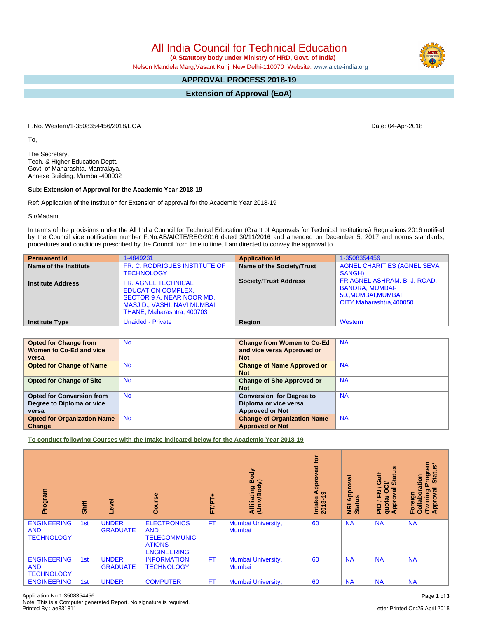All India Council for Technical Education

 **(A Statutory body under Ministry of HRD, Govt. of India)**

Nelson Mandela Marg,Vasant Kunj, New Delhi-110070 Website: [www.aicte-india.org](http://www.aicte-india.org)

## **APPROVAL PROCESS 2018-19**

**Extension of Approval (EoA)**

F.No. Western/1-3508354456/2018/EOA Date: 04-Apr-2018

To,

The Secretary, Tech. & Higher Education Deptt. Govt. of Maharashta, Mantralaya, Annexe Building, Mumbai-400032

## **Sub: Extension of Approval for the Academic Year 2018-19**

Ref: Application of the Institution for Extension of approval for the Academic Year 2018-19

Sir/Madam,

In terms of the provisions under the All India Council for Technical Education (Grant of Approvals for Technical Institutions) Regulations 2016 notified by the Council vide notification number F.No.AB/AICTE/REG/2016 dated 30/11/2016 and amended on December 5, 2017 and norms standards, procedures and conditions prescribed by the Council from time to time, I am directed to convey the approval to

| <b>Permanent Id</b>      | 1-4849231                                                                                                                                                 | <b>Application Id</b>        | 1-3508354456                                                                                               |
|--------------------------|-----------------------------------------------------------------------------------------------------------------------------------------------------------|------------------------------|------------------------------------------------------------------------------------------------------------|
| Name of the Institute    | FR. C. RODRIGUES INSTITUTE OF<br><b>TECHNOLOGY</b>                                                                                                        | Name of the Society/Trust    | <b>AGNEL CHARITIES (AGNEL SEVA</b><br>SANGH)                                                               |
| <b>Institute Address</b> | <b>FR. AGNEL TECHNICAL</b><br><b>EDUCATION COMPLEX,</b><br>SECTOR 9 A, NEAR NOOR MD.<br><b>MASJID., VASHI, NAVI MUMBAI,</b><br>THANE, Maharashtra, 400703 | <b>Society/Trust Address</b> | FR AGNEL ASHRAM, B. J. ROAD,<br><b>BANDRA, MUMBAI-</b><br>50., MUMBAI, MUMBAI<br>CITY, Maharashtra, 400050 |
| <b>Institute Type</b>    | <b>Unaided - Private</b>                                                                                                                                  | Region                       | Western                                                                                                    |

| <b>Opted for Change from</b><br>Women to Co-Ed and vice<br>versa       | <b>No</b> | <b>Change from Women to Co-Ed</b><br>and vice versa Approved or<br><b>Not</b>      | <b>NA</b> |
|------------------------------------------------------------------------|-----------|------------------------------------------------------------------------------------|-----------|
| <b>Opted for Change of Name</b>                                        | <b>No</b> | <b>Change of Name Approved or</b><br><b>Not</b>                                    | <b>NA</b> |
| <b>Opted for Change of Site</b>                                        | <b>No</b> | <b>Change of Site Approved or</b><br><b>Not</b>                                    | <b>NA</b> |
| <b>Opted for Conversion from</b><br>Degree to Diploma or vice<br>versa | <b>No</b> | <b>Conversion for Degree to</b><br>Diploma or vice versa<br><b>Approved or Not</b> | <b>NA</b> |
| <b>Opted for Organization Name</b><br>Change                           | <b>No</b> | <b>Change of Organization Name</b><br><b>Approved or Not</b>                       | <b>NA</b> |

**To conduct following Courses with the Intake indicated below for the Academic Year 2018-19**

| Program                                               | Shift           | g<br>ڡ                          | $\frac{6}{5}$<br>ပြီ                                                                           | FT/PT+    | Body<br>ody)<br>Affiliating I<br>(Univ/Body | ē<br>ved<br>Approv<br>ၜ<br>Intake<br>2018-1 | ζā<br>Approv<br><b>NRI Ap</b><br>Status | <b>U)</b><br>Guif<br>Ē<br>≃<br>ဖာ<br>∽<br>त्त<br>O<br>준<br>quota/<br>Approv<br>$\frac{1}{2}$ | rogram<br>Status*<br>oration<br>हु<br><b>Twining</b><br>Approval<br>Foreign<br>Collabo |
|-------------------------------------------------------|-----------------|---------------------------------|------------------------------------------------------------------------------------------------|-----------|---------------------------------------------|---------------------------------------------|-----------------------------------------|----------------------------------------------------------------------------------------------|----------------------------------------------------------------------------------------|
| <b>ENGINEERING</b><br><b>AND</b><br><b>TECHNOLOGY</b> | 1 <sub>st</sub> | <b>UNDER</b><br><b>GRADUATE</b> | <b>ELECTRONICS</b><br><b>AND</b><br><b>TELECOMMUNIC</b><br><b>ATIONS</b><br><b>ENGINEERING</b> | <b>FT</b> | Mumbai University,<br><b>Mumbai</b>         | 60                                          | <b>NA</b>                               | <b>NA</b>                                                                                    | <b>NA</b>                                                                              |
| <b>ENGINEERING</b><br><b>AND</b><br><b>TECHNOLOGY</b> | 1st             | <b>UNDER</b><br><b>GRADUATE</b> | <b>INFORMATION</b><br><b>TECHNOLOGY</b>                                                        | <b>FT</b> | Mumbai University,<br><b>Mumbai</b>         | 60                                          | <b>NA</b>                               | <b>NA</b>                                                                                    | <b>NA</b>                                                                              |
| <b>ENGINEERING</b>                                    | 1st             | <b>UNDER</b>                    | <b>COMPUTER</b>                                                                                | FT        | Mumbai University,                          | 60                                          | <b>NA</b>                               | <b>NA</b>                                                                                    | <b>NA</b>                                                                              |